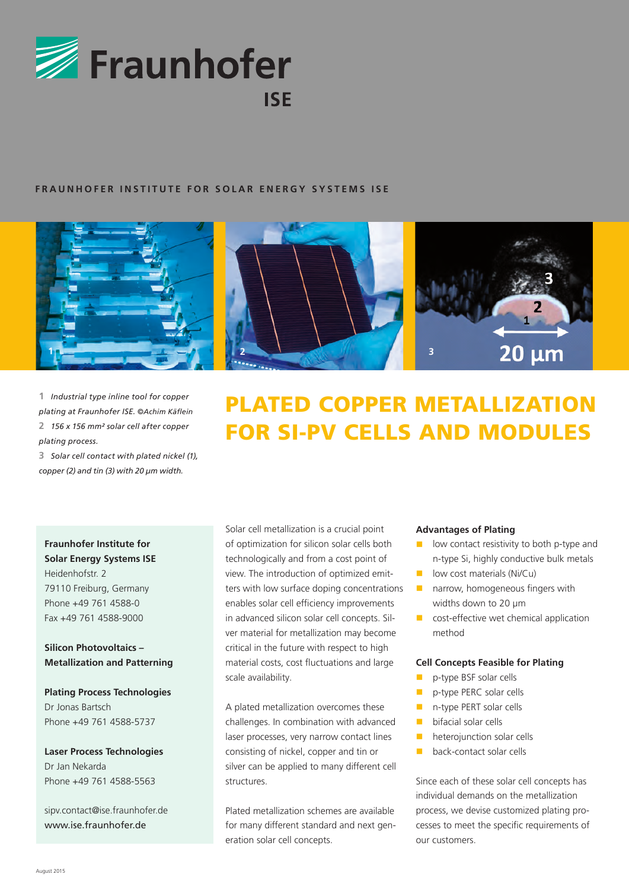

# **FRAUNHOFER INSTITUTE FOR SOLAR ENERGY SYSTEMS ISE**



**1** *Industrial type inline tool for copper plating at Fraunhofer ISE. ©Achim Käflein* **2** *156 x 156 mm² solar cell after copper plating process.*

**3** *Solar cell contact with plated nickel (1), copper (2) and tin (3) with 20 µm width.*

**Fraunhofer Institute for Solar Energy Systems ISE** Heidenhofstr. 2 79110 Freiburg, Germany Phone +49 761 4588-0 Fax +49 761 4588-9000

**Silicon Photovoltaics – Metallization and Patterning**

**Plating Process Technologies** Dr Jonas Bartsch Phone +49 761 4588-5737

**Laser Process Technologies** Dr Jan Nekarda Phone +49 761 4588-5563

sipv.contact@ise.fraunhofer.de www.ise.fraunhofer.de





# PLATED COPPER METALLIZATION FOR SI-PV CELLS AND MODULES

Solar cell metallization is a crucial point of optimization for silicon solar cells both technologically and from a cost point of view. The introduction of optimized emitters with low surface doping concentrations enables solar cell efficiency improvements in advanced silicon solar cell concepts. Silver material for metallization may become critical in the future with respect to high material costs, cost fluctuations and large scale availability.

A plated metallization overcomes these challenges. In combination with advanced laser processes, very narrow contact lines consisting of nickel, copper and tin or silver can be applied to many different cell structures.

Plated metallization schemes are available for many different standard and next generation solar cell concepts.

#### **Advantages of Plating**

- low contact resistivity to both p-type and n-type Si, highly conductive bulk metals
- $\blacksquare$  low cost materials (Ni/Cu)
- $\blacksquare$  narrow, homogeneous fingers with widths down to 20 µm
- $\blacksquare$  cost-effective wet chemical application method

#### **Cell Concepts Feasible for Plating**

- n p-type BSF solar cells
- **n** p-type PERC solar cells
- n-type PERT solar cells
- **n** bifacial solar cells
- $\blacksquare$  heterojunction solar cells
- $\blacksquare$  back-contact solar cells

Since each of these solar cell concepts has individual demands on the metallization process, we devise customized plating processes to meet the specific requirements of our customers.